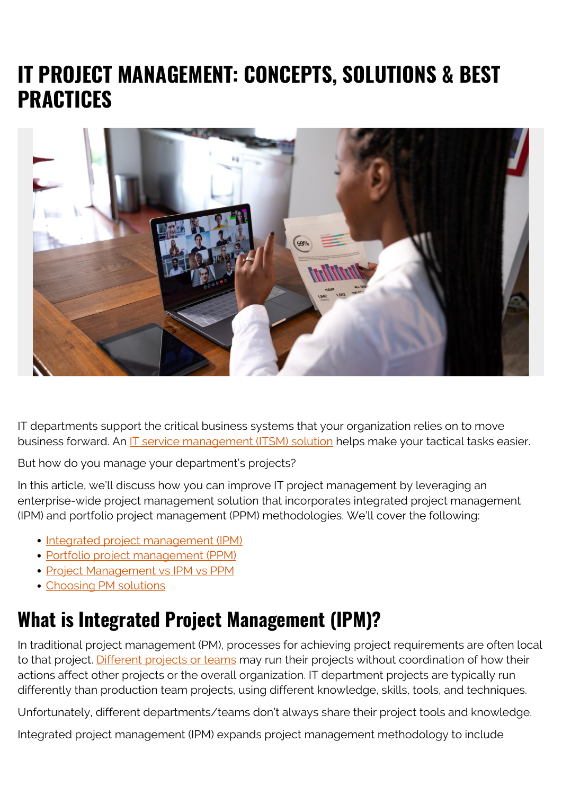# **IT PROJECT MANAGEMENT: CONCEPTS, SOLUTIONS & BEST PRACTICES**



IT departments support the critical business systems that your organization relies on to move business forward. An [IT service management \(ITSM\) solution](https://www.bmc.com/blogs/itsm/) helps make your tactical tasks easier.

But how do you manage your department's projects?

In this article, we'll discuss how you can improve IT project management by leveraging an enterprise-wide project management solution that incorporates integrated project management (IPM) and portfolio project management (PPM) methodologies. We'll cover the following:

- [Integrated project management \(IPM\)](#page--1-0)
- [Portfolio project management \(PPM\)](#page--1-0)
- [Project Management vs IPM vs PPM](#page--1-0)
- [Choosing PM solutions](#page--1-0)

### **What is Integrated Project Management (IPM)?**

In traditional project management (PM), processes for achieving project requirements are often local to that project. [Different projects or teams](https://www.bmc.com/blogs/it-teams/) may run their projects without coordination of how their actions affect other projects or the overall organization. IT department projects are typically run differently than production team projects, using different knowledge, skills, tools, and techniques.

Unfortunately, different departments/teams don't always share their project tools and knowledge.

Integrated project management (IPM) expands project management methodology to include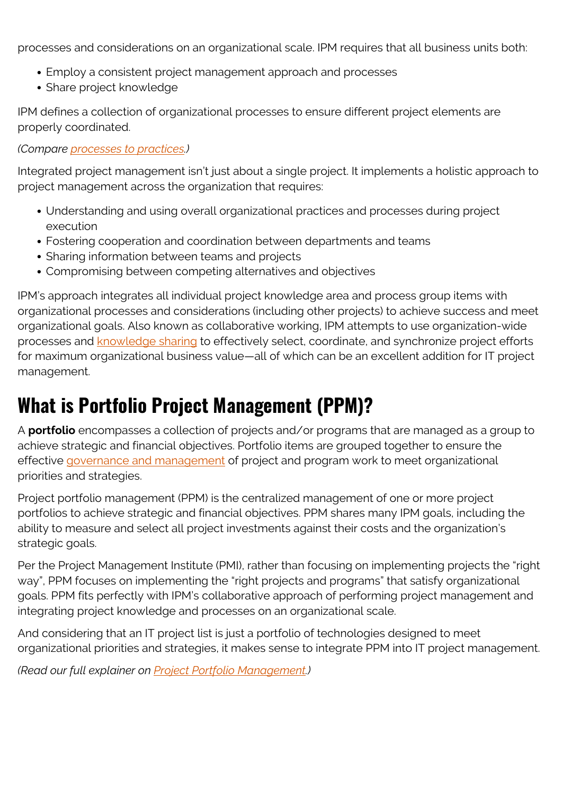processes and considerations on an organizational scale. IPM requires that all business units both:

- Employ a consistent project management approach and processes
- Share project knowledge

IPM defines a collection of organizational processes to ensure different project elements are properly coordinated.

*(Compare [processes to practices](https://www.bmc.com/blogs/practice-vs-process/).)*

Integrated project management isn't just about a single project. It implements a holistic approach to project management across the organization that requires:

- Understanding and using overall organizational practices and processes during project execution
- Fostering cooperation and coordination between departments and teams
- Sharing information between teams and projects
- Compromising between competing alternatives and objectives

IPM's approach integrates all individual project knowledge area and process group items with organizational processes and considerations (including other projects) to achieve success and meet organizational goals. Also known as collaborative working, IPM attempts to use organization-wide processes and [knowledge sharing](https://www.bmc.com/blogs/knowledge-management-best-practices/) to effectively select, coordinate, and synchronize project efforts for maximum organizational business value—all of which can be an excellent addition for IT project management.

# **What is Portfolio Project Management (PPM)?**

A **portfolio** encompasses a collection of projects and/or programs that are managed as a group to achieve strategic and financial objectives. Portfolio items are grouped together to ensure the effective [governance and management](https://www.bmc.com/blogs/governance-vs-management/) of project and program work to meet organizational priorities and strategies.

Project portfolio management (PPM) is the centralized management of one or more project portfolios to achieve strategic and financial objectives. PPM shares many IPM goals, including the ability to measure and select all project investments against their costs and the organization's strategic goals.

Per the Project Management Institute (PMI), rather than focusing on implementing projects the "right way", PPM focuses on implementing the "right projects and programs" that satisfy organizational goals. PPM fits perfectly with IPM's collaborative approach of performing project management and integrating project knowledge and processes on an organizational scale.

And considering that an IT project list is just a portfolio of technologies designed to meet organizational priorities and strategies, it makes sense to integrate PPM into IT project management.

*(Read our full explainer on [Project Portfolio Management.](https://www.bmc.com/blogs/project-portfolio-management/))*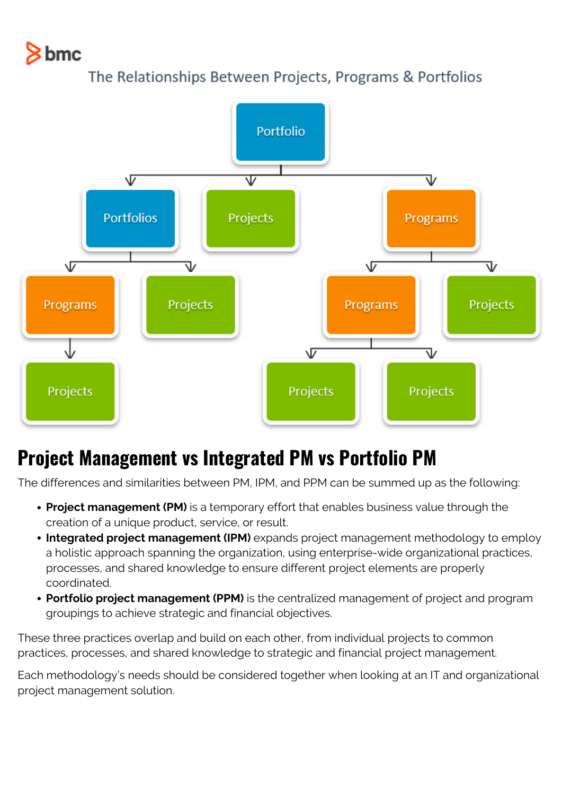# $8$  bmc





### **Project Management vs Integrated PM vs Portfolio PM**

The differences and similarities between PM, IPM, and PPM can be summed up as the following:

- **Project management (PM)** is a temporary effort that enables business value through the creation of a unique product, service, or result.
- **Integrated project management (IPM)** expands project management methodology to employ a holistic approach spanning the organization, using enterprise-wide organizational practices, processes, and shared knowledge to ensure different project elements are properly coordinated.
- **Portfolio project management (PPM)** is the centralized management of project and program groupings to achieve strategic and financial objectives.

These three practices overlap and build on each other, from individual projects to common practices, processes, and shared knowledge to strategic and financial project management.

Each methodology's needs should be considered together when looking at an IT and organizational project management solution.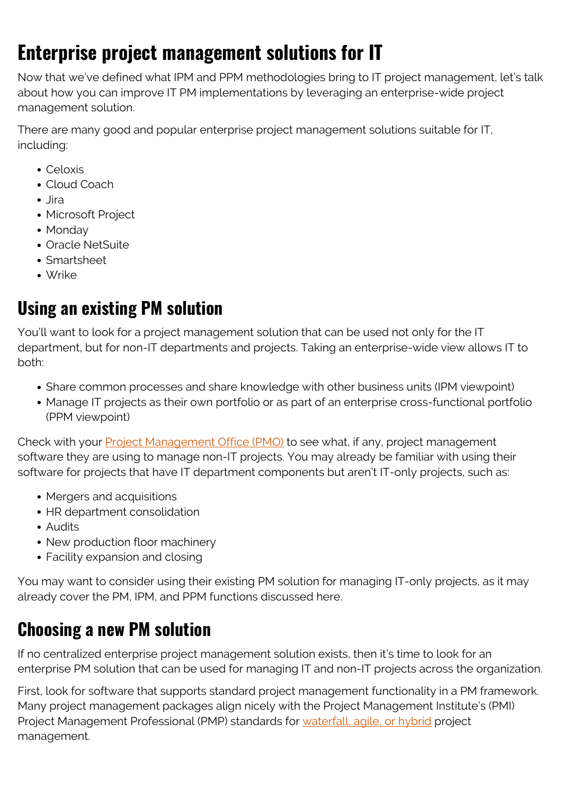# **Enterprise project management solutions for IT**

Now that we've defined what IPM and PPM methodologies bring to IT project management, let's talk about how you can improve IT PM implementations by leveraging an enterprise-wide project management solution.

There are many good and popular enterprise project management solutions suitable for IT, including:

- Celoxis
- Cloud Coach
- Jira
- Microsoft Project
- Monday
- Oracle NetSuite
- Smartsheet
- Wrike

#### **Using an existing PM solution**

You'll want to look for a project management solution that can be used not only for the IT department, but for non-IT departments and projects. Taking an enterprise-wide view allows IT to both:

- Share common processes and share knowledge with other business units (IPM viewpoint)
- Manage IT projects as their own portfolio or as part of an enterprise cross-functional portfolio (PPM viewpoint)

Check with your **Project Management Office (PMO)** to see what, if any, project management software they are using to manage non-IT projects. You may already be familiar with using their software for projects that have IT department components but aren't IT-only projects, such as:

- Mergers and acquisitions
- HR department consolidation
- Audits
- New production floor machinery
- Facility expansion and closing

You may want to consider using their existing PM solution for managing IT-only projects, as it may already cover the PM, IPM, and PPM functions discussed here.

### **Choosing a new PM solution**

If no centralized enterprise project management solution exists, then it's time to look for an enterprise PM solution that can be used for managing IT and non-IT projects across the organization.

First, look for software that supports standard project management functionality in a PM framework. Many project management packages align nicely with the Project Management Institute's (PMI) Project Management Professional (PMP) standards for [waterfall, agile, or hybrid](https://www.bmc.com/blogs/agile-vs-waterfall/) project management.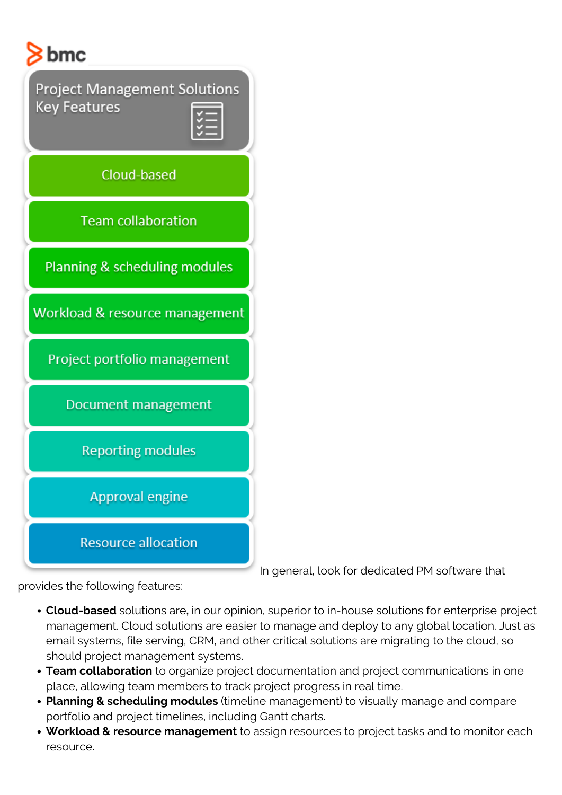

In general, look for dedicated PM software that

provides the following features:

- **Cloud-based** solutions are**,** in our opinion, superior to in-house solutions for enterprise project management. Cloud solutions are easier to manage and deploy to any global location. Just as email systems, file serving, CRM, and other critical solutions are migrating to the cloud, so should project management systems.
- **Team collaboration** to organize project documentation and project communications in one place, allowing team members to track project progress in real time.
- **Planning & scheduling modules** (timeline management) to visually manage and compare portfolio and project timelines, including Gantt charts.
- **Workload & resource management** to assign resources to project tasks and to monitor each resource.